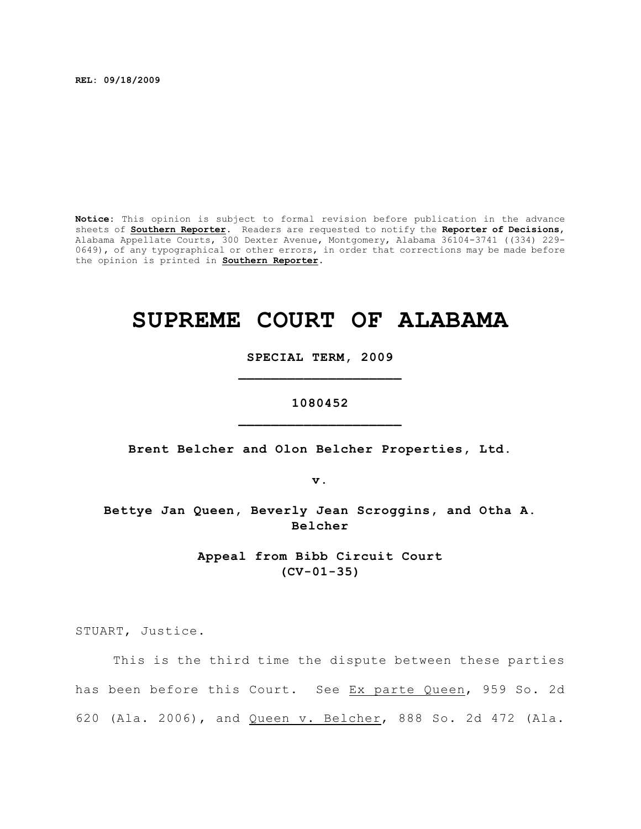**REL: 09/18/2009**

**Notice:** This opinion is subject to formal revision before publication in the advance sheets of **Southern Reporter**. Readers are requested to notify the **Reporter of Decisions**, Alabama Appellate Courts, 300 Dexter Avenue, Montgomery, Alabama 36104-3741 ((334) 229- 0649), of any typographical or other errors, in order that corrections may be made before the opinion is printed in **Southern Reporter**.

# **SUPREME COURT OF ALABAMA**

**SPECIAL TERM, 2009 \_\_\_\_\_\_\_\_\_\_\_\_\_\_\_\_\_\_\_\_**

**1080452 \_\_\_\_\_\_\_\_\_\_\_\_\_\_\_\_\_\_\_\_**

**Brent Belcher and Olon Belcher Properties, Ltd.**

**v.**

**Bettye Jan Queen, Beverly Jean Scroggins, and Otha A. Belcher**

> **Appeal from Bibb Circuit Court (CV-01-35)**

STUART, Justice.

This is the third time the dispute between these parties has been before this Court. See Ex parte Queen, 959 So. 2d 620 (Ala. 2006), and Queen v. Belcher, 888 So. 2d 472 (Ala.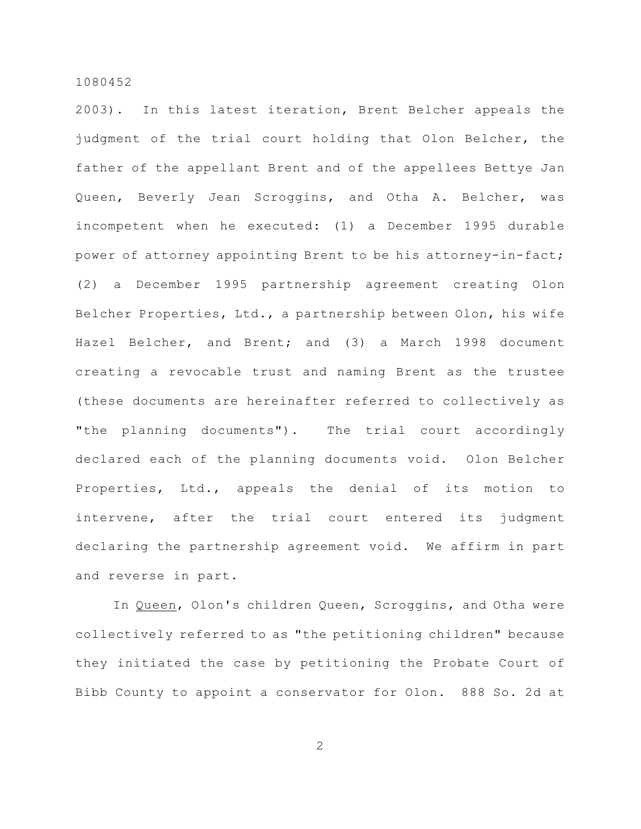2003). In this latest iteration, Brent Belcher appeals the judgment of the trial court holding that Olon Belcher, the father of the appellant Brent and of the appellees Bettye Jan Queen, Beverly Jean Scroggins, and Otha A. Belcher, was incompetent when he executed: (1) a December 1995 durable power of attorney appointing Brent to be his attorney-in-fact; (2) a December 1995 partnership agreement creating Olon Belcher Properties, Ltd., a partnership between Olon, his wife Hazel Belcher, and Brent; and (3) a March 1998 document creating a revocable trust and naming Brent as the trustee (these documents are hereinafter referred to collectively as "the planning documents"). The trial court accordingly declared each of the planning documents void. Olon Belcher Properties, Ltd., appeals the denial of its motion to intervene, after the trial court entered its judgment declaring the partnership agreement void. We affirm in part and reverse in part.

In Queen, Olon's children Queen, Scroggins, and Otha were collectively referred to as "the petitioning children" because they initiated the case by petitioning the Probate Court of Bibb County to appoint a conservator for Olon. 888 So. 2d at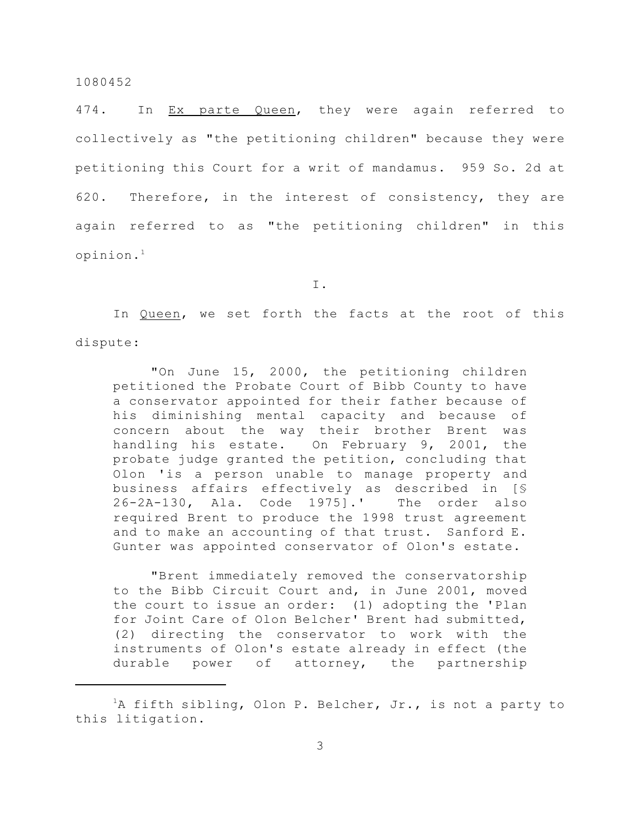474. In Ex parte Queen, they were again referred to collectively as "the petitioning children" because they were petitioning this Court for a writ of mandamus. 959 So. 2d at 620. Therefore, in the interest of consistency, they are again referred to as "the petitioning children" in this opinion.<sup>1</sup>

I.

In Queen, we set forth the facts at the root of this dispute:

"On June 15, 2000, the petitioning children petitioned the Probate Court of Bibb County to have a conservator appointed for their father because of his diminishing mental capacity and because of concern about the way their brother Brent was handling his estate. On February 9, 2001, the probate judge granted the petition, concluding that Olon 'is a person unable to manage property and business affairs effectively as described in [§ 26-2A-130, Ala. Code 1975].' The order also required Brent to produce the 1998 trust agreement and to make an accounting of that trust. Sanford E. Gunter was appointed conservator of Olon's estate.

"Brent immediately removed the conservatorship to the Bibb Circuit Court and, in June 2001, moved the court to issue an order: (1) adopting the 'Plan for Joint Care of Olon Belcher' Brent had submitted, (2) directing the conservator to work with the instruments of Olon's estate already in effect (the durable power of attorney, the partnership

 ${}^{1}$ A fifth sibling, Olon P. Belcher, Jr., is not a party to this litigation.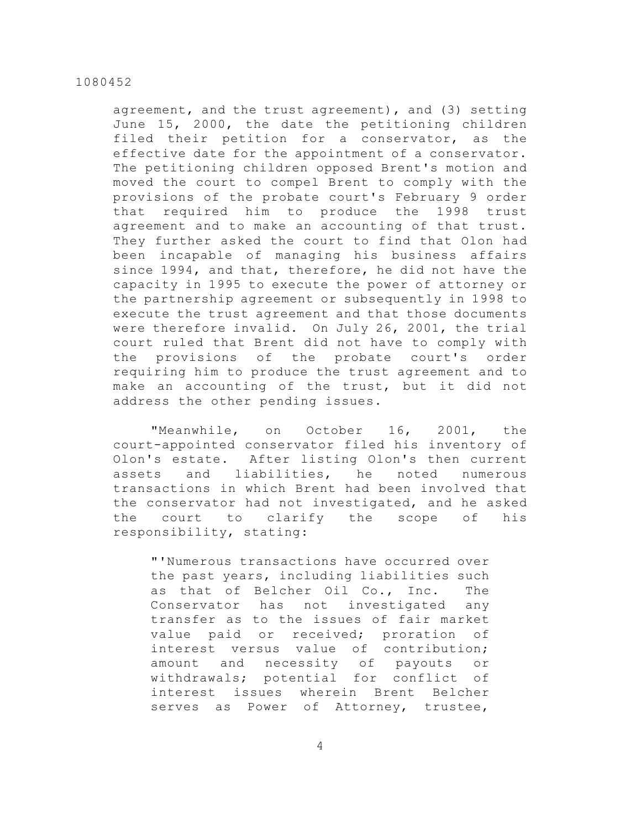agreement, and the trust agreement), and (3) setting June 15, 2000, the date the petitioning children filed their petition for a conservator, as the effective date for the appointment of a conservator. The petitioning children opposed Brent's motion and moved the court to compel Brent to comply with the provisions of the probate court's February 9 order that required him to produce the 1998 trust agreement and to make an accounting of that trust. They further asked the court to find that Olon had been incapable of managing his business affairs since 1994, and that, therefore, he did not have the capacity in 1995 to execute the power of attorney or the partnership agreement or subsequently in 1998 to execute the trust agreement and that those documents were therefore invalid. On July 26, 2001, the trial court ruled that Brent did not have to comply with the provisions of the probate court's order requiring him to produce the trust agreement and to make an accounting of the trust, but it did not address the other pending issues.

"Meanwhile, on October 16, 2001, the court-appointed conservator filed his inventory of Olon's estate. After listing Olon's then current assets and liabilities, he noted numerous transactions in which Brent had been involved that the conservator had not investigated, and he asked the court to clarify the scope of his responsibility, stating:

"'Numerous transactions have occurred over the past years, including liabilities such as that of Belcher Oil Co., Inc. The Conservator has not investigated any transfer as to the issues of fair market value paid or received; proration of interest versus value of contribution; amount and necessity of payouts or withdrawals; potential for conflict of interest issues wherein Brent Belcher serves as Power of Attorney, trustee,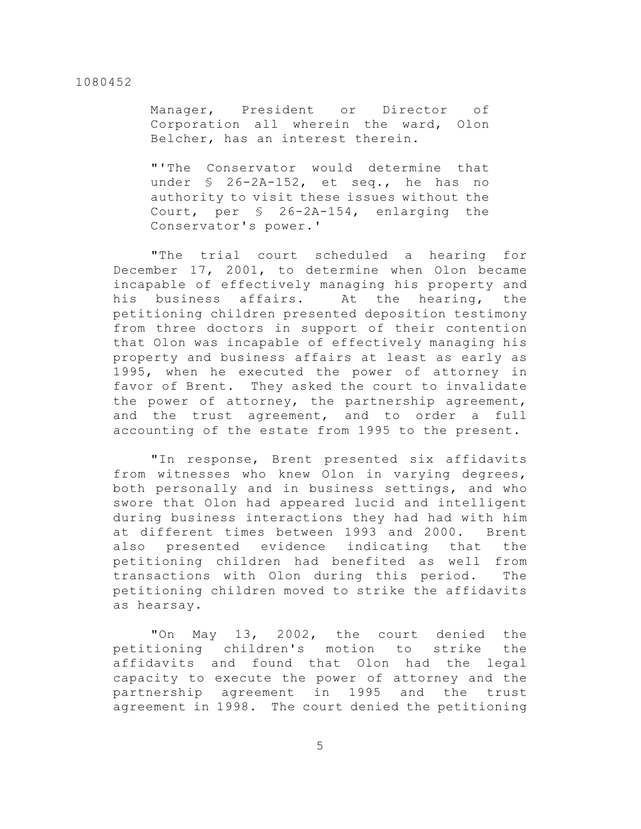Manager, President or Director of Corporation all wherein the ward, Olon Belcher, has an interest therein.

"'The Conservator would determine that under § 26-2A-152, et seq., he has no authority to visit these issues without the Court, per § 26-2A-154, enlarging the Conservator's power.'

"The trial court scheduled a hearing for December 17, 2001, to determine when Olon became incapable of effectively managing his property and his business affairs. At the hearing, the petitioning children presented deposition testimony from three doctors in support of their contention that Olon was incapable of effectively managing his property and business affairs at least as early as 1995, when he executed the power of attorney in favor of Brent. They asked the court to invalidate the power of attorney, the partnership agreement, and the trust agreement, and to order a full accounting of the estate from 1995 to the present.

"In response, Brent presented six affidavits from witnesses who knew Olon in varying degrees, both personally and in business settings, and who swore that Olon had appeared lucid and intelligent during business interactions they had had with him at different times between 1993 and 2000. Brent also presented evidence indicating that the petitioning children had benefited as well from transactions with Olon during this period. The petitioning children moved to strike the affidavits as hearsay.

"On May 13, 2002, the court denied the petitioning children's motion to strike the affidavits and found that Olon had the legal capacity to execute the power of attorney and the partnership agreement in 1995 and the trust agreement in 1998. The court denied the petitioning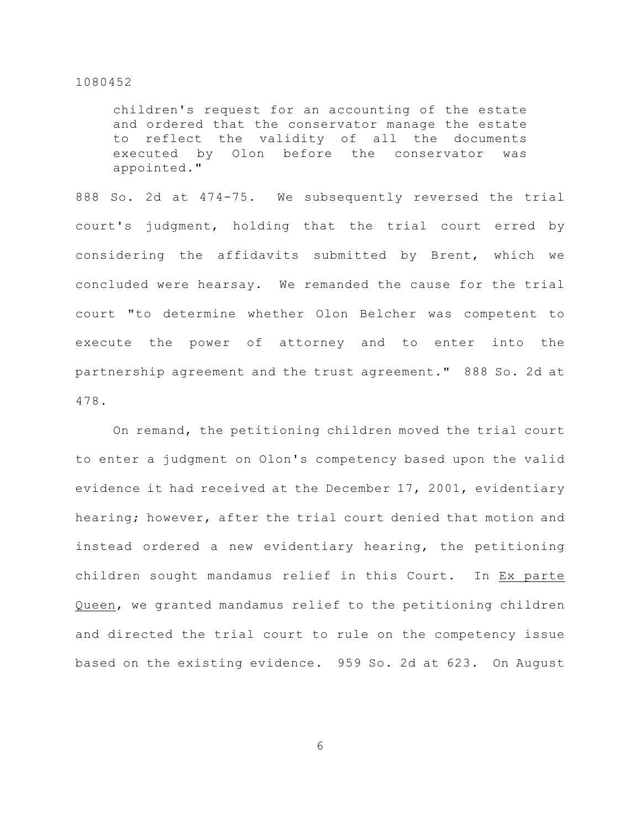children's request for an accounting of the estate and ordered that the conservator manage the estate to reflect the validity of all the documents executed by Olon before the conservator was appointed."

888 So. 2d at 474-75. We subsequently reversed the trial court's judgment, holding that the trial court erred by considering the affidavits submitted by Brent, which we concluded were hearsay. We remanded the cause for the trial court "to determine whether Olon Belcher was competent to execute the power of attorney and to enter into the partnership agreement and the trust agreement." 888 So. 2d at 478.

On remand, the petitioning children moved the trial court to enter a judgment on Olon's competency based upon the valid evidence it had received at the December 17, 2001, evidentiary hearing; however, after the trial court denied that motion and instead ordered a new evidentiary hearing, the petitioning children sought mandamus relief in this Court. In Ex parte Queen, we granted mandamus relief to the petitioning children and directed the trial court to rule on the competency issue based on the existing evidence. 959 So. 2d at 623. On August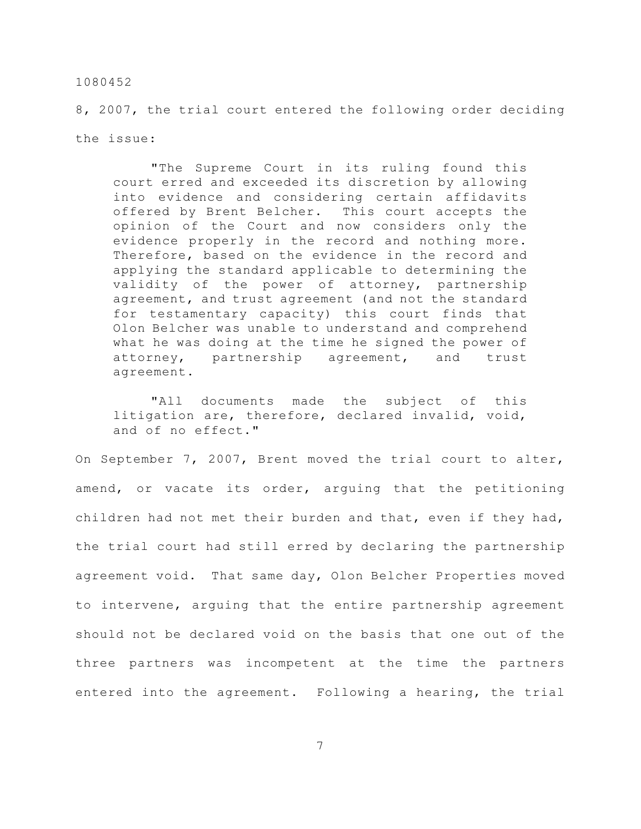8, 2007, the trial court entered the following order deciding the issue:

"The Supreme Court in its ruling found this court erred and exceeded its discretion by allowing into evidence and considering certain affidavits offered by Brent Belcher. This court accepts the opinion of the Court and now considers only the evidence properly in the record and nothing more. Therefore, based on the evidence in the record and applying the standard applicable to determining the validity of the power of attorney, partnership agreement, and trust agreement (and not the standard for testamentary capacity) this court finds that Olon Belcher was unable to understand and comprehend what he was doing at the time he signed the power of attorney, partnership agreement, and trust agreement.

"All documents made the subject of this litigation are, therefore, declared invalid, void, and of no effect."

On September 7, 2007, Brent moved the trial court to alter, amend, or vacate its order, arguing that the petitioning children had not met their burden and that, even if they had, the trial court had still erred by declaring the partnership agreement void. That same day, Olon Belcher Properties moved to intervene, arguing that the entire partnership agreement should not be declared void on the basis that one out of the three partners was incompetent at the time the partners entered into the agreement. Following a hearing, the trial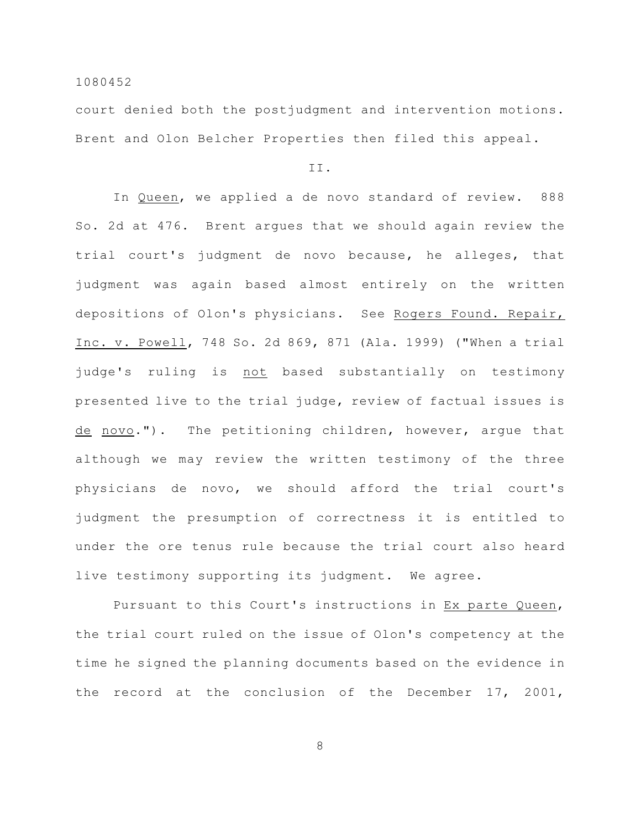court denied both the postjudgment and intervention motions. Brent and Olon Belcher Properties then filed this appeal.

II.

In Queen, we applied a de novo standard of review. 888 So. 2d at 476. Brent argues that we should again review the trial court's judgment de novo because, he alleges, that judgment was again based almost entirely on the written depositions of Olon's physicians. See Rogers Found. Repair, Inc. v. Powell, 748 So. 2d 869, 871 (Ala. 1999) ("When a trial judge's ruling is not based substantially on testimony presented live to the trial judge, review of factual issues is de novo."). The petitioning children, however, argue that although we may review the written testimony of the three physicians de novo, we should afford the trial court's judgment the presumption of correctness it is entitled to under the ore tenus rule because the trial court also heard live testimony supporting its judgment. We agree.

Pursuant to this Court's instructions in Ex parte Queen, the trial court ruled on the issue of Olon's competency at the time he signed the planning documents based on the evidence in the record at the conclusion of the December 17, 2001,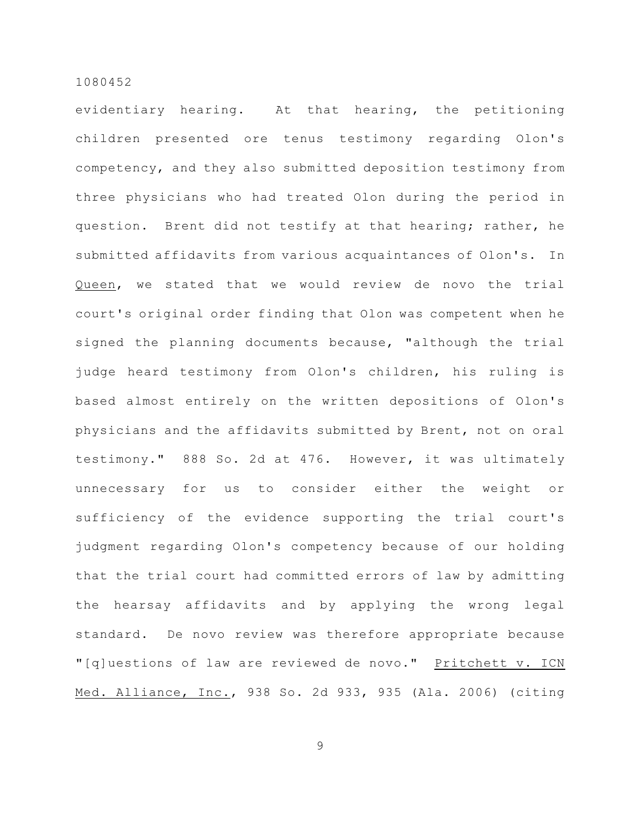evidentiary hearing. At that hearing, the petitioning children presented ore tenus testimony regarding Olon's competency, and they also submitted deposition testimony from three physicians who had treated Olon during the period in question. Brent did not testify at that hearing; rather, he submitted affidavits from various acquaintances of Olon's. In Queen, we stated that we would review de novo the trial court's original order finding that Olon was competent when he signed the planning documents because, "although the trial judge heard testimony from Olon's children, his ruling is based almost entirely on the written depositions of Olon's physicians and the affidavits submitted by Brent, not on oral testimony." 888 So. 2d at 476. However, it was ultimately unnecessary for us to consider either the weight or sufficiency of the evidence supporting the trial court's judgment regarding Olon's competency because of our holding that the trial court had committed errors of law by admitting the hearsay affidavits and by applying the wrong legal standard. De novo review was therefore appropriate because "[q]uestions of law are reviewed de novo." Pritchett v. ICN Med. Alliance, Inc., 938 So. 2d 933, 935 (Ala. 2006) (citing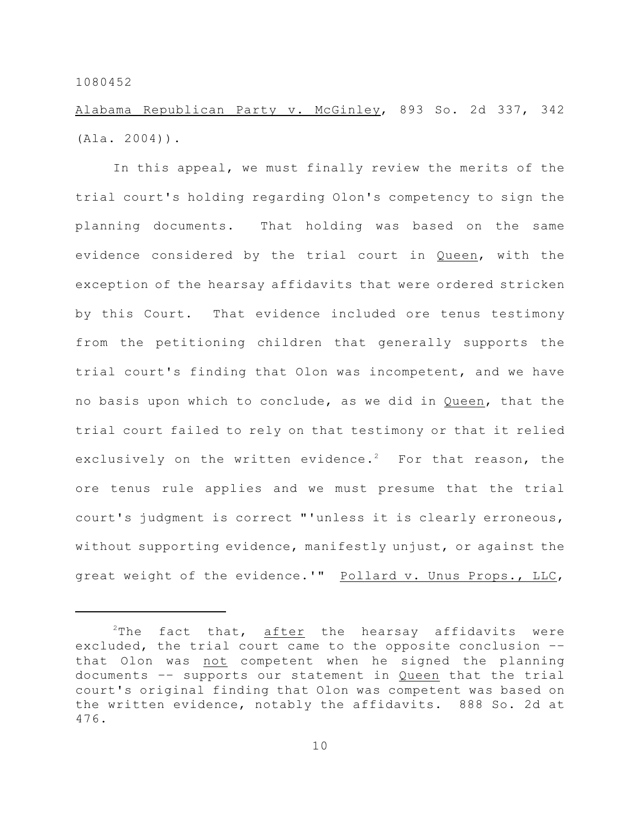Alabama Republican Party v. McGinley, 893 So. 2d 337, 342 (Ala. 2004)).

In this appeal, we must finally review the merits of the trial court's holding regarding Olon's competency to sign the planning documents. That holding was based on the same evidence considered by the trial court in Queen, with the exception of the hearsay affidavits that were ordered stricken by this Court. That evidence included ore tenus testimony from the petitioning children that generally supports the trial court's finding that Olon was incompetent, and we have no basis upon which to conclude, as we did in Queen, that the trial court failed to rely on that testimony or that it relied exclusively on the written evidence.<sup>2</sup> For that reason, the ore tenus rule applies and we must presume that the trial court's judgment is correct "'unless it is clearly erroneous, without supporting evidence, manifestly unjust, or against the great weight of the evidence.'" Pollard v. Unus Props., LLC,

 $2$ The fact that, after the hearsay affidavits were excluded, the trial court came to the opposite conclusion –– that Olon was not competent when he signed the planning documents –– supports our statement in Queen that the trial court's original finding that Olon was competent was based on the written evidence, notably the affidavits. 888 So. 2d at 476.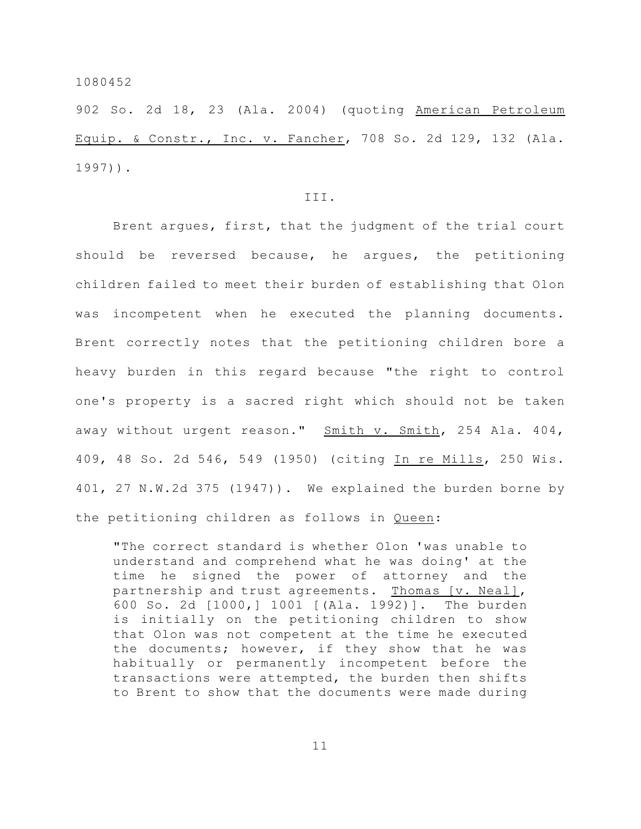902 So. 2d 18, 23 (Ala. 2004) (quoting American Petroleum Equip. & Constr., Inc. v. Fancher, 708 So. 2d 129, 132 (Ala. 1997)).

# III.

Brent argues, first, that the judgment of the trial court should be reversed because, he argues, the petitioning children failed to meet their burden of establishing that Olon was incompetent when he executed the planning documents. Brent correctly notes that the petitioning children bore a heavy burden in this regard because "the right to control one's property is a sacred right which should not be taken away without urgent reason." Smith v. Smith, 254 Ala. 404, 409, 48 So. 2d 546, 549 (1950) (citing In re Mills, 250 Wis. 401, 27 N.W.2d 375 (1947)). We explained the burden borne by the petitioning children as follows in Queen:

"The correct standard is whether Olon 'was unable to understand and comprehend what he was doing' at the time he signed the power of attorney and the partnership and trust agreements. Thomas [v. Neal], 600 So. 2d [1000,] 1001 [(Ala. 1992)]. The burden is initially on the petitioning children to show that Olon was not competent at the time he executed the documents; however, if they show that he was habitually or permanently incompetent before the transactions were attempted, the burden then shifts to Brent to show that the documents were made during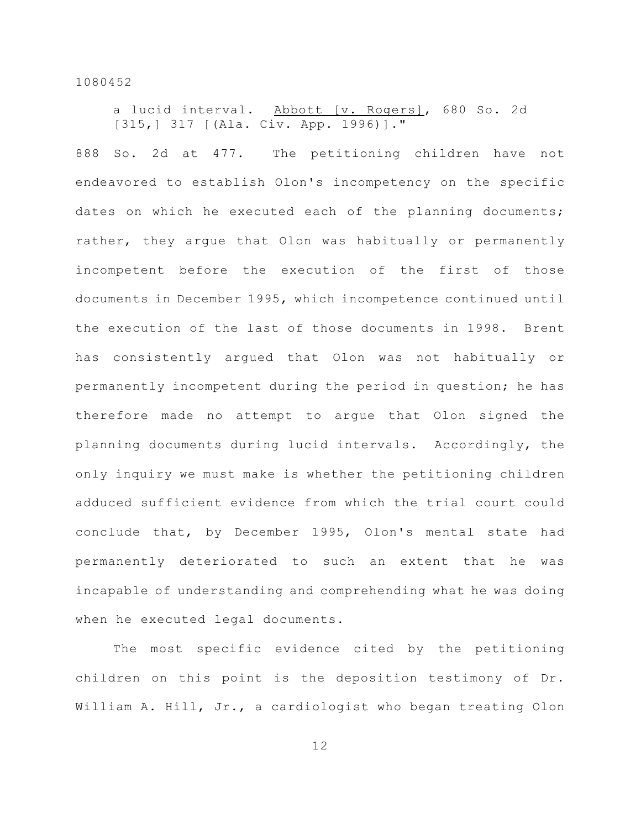a lucid interval. Abbott [v. Rogers], 680 So. 2d [315,] 317 [(Ala. Civ. App. 1996)]."

888 So. 2d at 477. The petitioning children have not endeavored to establish Olon's incompetency on the specific dates on which he executed each of the planning documents; rather, they argue that Olon was habitually or permanently incompetent before the execution of the first of those documents in December 1995, which incompetence continued until the execution of the last of those documents in 1998. Brent has consistently argued that Olon was not habitually or permanently incompetent during the period in question; he has therefore made no attempt to argue that Olon signed the planning documents during lucid intervals. Accordingly, the only inquiry we must make is whether the petitioning children adduced sufficient evidence from which the trial court could conclude that, by December 1995, Olon's mental state had permanently deteriorated to such an extent that he was incapable of understanding and comprehending what he was doing when he executed legal documents.

The most specific evidence cited by the petitioning children on this point is the deposition testimony of Dr. William A. Hill, Jr., a cardiologist who began treating Olon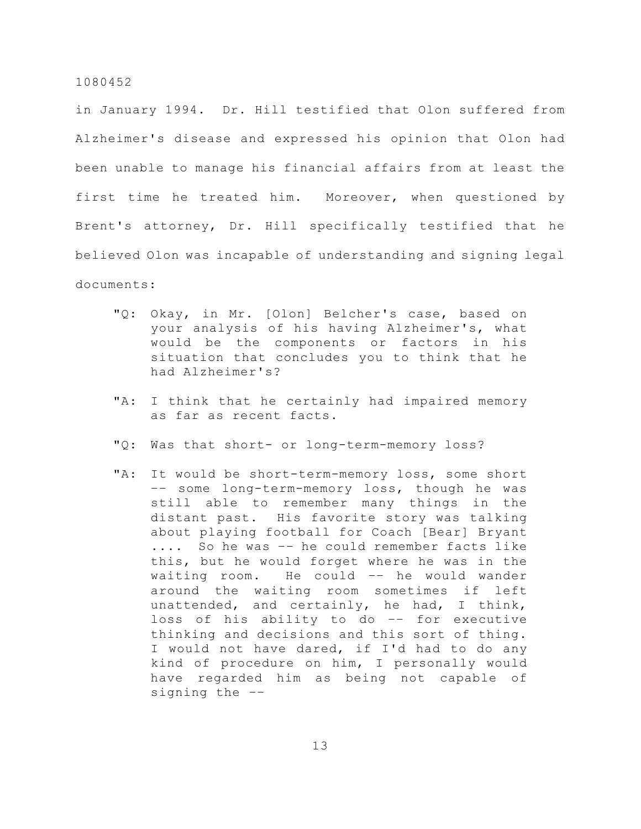in January 1994. Dr. Hill testified that Olon suffered from Alzheimer's disease and expressed his opinion that Olon had been unable to manage his financial affairs from at least the first time he treated him. Moreover, when questioned by Brent's attorney, Dr. Hill specifically testified that he believed Olon was incapable of understanding and signing legal documents:

- "Q: Okay, in Mr. [Olon] Belcher's case, based on your analysis of his having Alzheimer's, what would be the components or factors in his situation that concludes you to think that he had Alzheimer's?
- "A: I think that he certainly had impaired memory as far as recent facts.
- "Q: Was that short- or long-term-memory loss?
- "A: It would be short-term-memory loss, some short –– some long-term-memory loss, though he was still able to remember many things in the distant past. His favorite story was talking about playing football for Coach [Bear] Bryant .... So he was –– he could remember facts like this, but he would forget where he was in the waiting room. He could –– he would wander around the waiting room sometimes if left unattended, and certainly, he had, I think, loss of his ability to do –– for executive thinking and decisions and this sort of thing. I would not have dared, if I'd had to do any kind of procedure on him, I personally would have regarded him as being not capable of signing the ––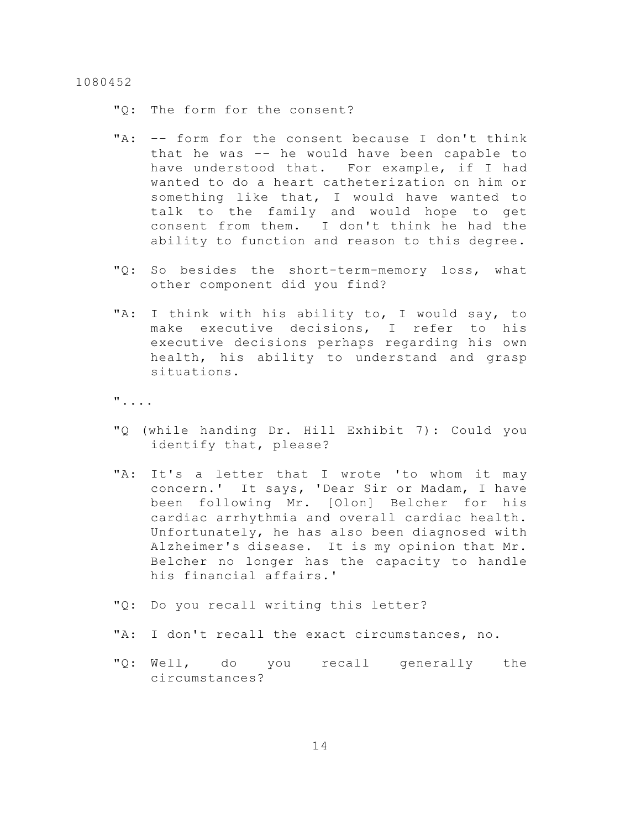"Q: The form for the consent?

- "A: -- form for the consent because I don't think that he was –– he would have been capable to have understood that. For example, if I had wanted to do a heart catheterization on him or something like that, I would have wanted to talk to the family and would hope to get consent from them. I don't think he had the ability to function and reason to this degree.
- "Q: So besides the short-term-memory loss, what other component did you find?
- "A: I think with his ability to, I would say, to make executive decisions, I refer to his executive decisions perhaps regarding his own health, his ability to understand and grasp situations.

"....

- "Q (while handing Dr. Hill Exhibit 7): Could you identify that, please?
- "A: It's a letter that I wrote 'to whom it may concern.' It says, 'Dear Sir or Madam, I have been following Mr. [Olon] Belcher for his cardiac arrhythmia and overall cardiac health. Unfortunately, he has also been diagnosed with Alzheimer's disease. It is my opinion that Mr. Belcher no longer has the capacity to handle his financial affairs.'
- "Q: Do you recall writing this letter?
- "A: I don't recall the exact circumstances, no.
- "Q: Well, do you recall generally the circumstances?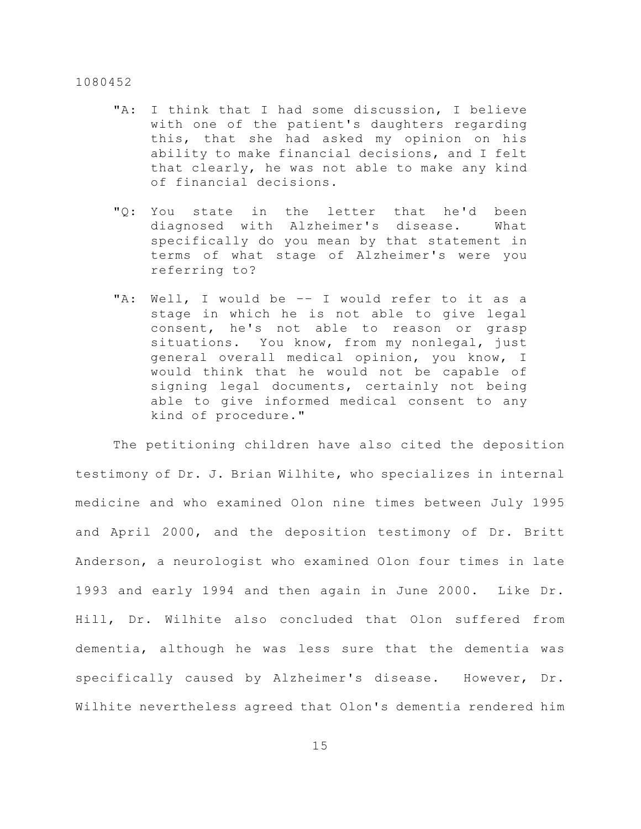- "A: I think that I had some discussion, I believe with one of the patient's daughters regarding this, that she had asked my opinion on his ability to make financial decisions, and I felt that clearly, he was not able to make any kind of financial decisions.
- "Q: You state in the letter that he'd been diagnosed with Alzheimer's disease. What specifically do you mean by that statement in terms of what stage of Alzheimer's were you referring to?
- "A: Well, I would be –– I would refer to it as a stage in which he is not able to give legal consent, he's not able to reason or grasp situations. You know, from my nonlegal, just general overall medical opinion, you know, I would think that he would not be capable of signing legal documents, certainly not being able to give informed medical consent to any kind of procedure."

The petitioning children have also cited the deposition testimony of Dr. J. Brian Wilhite, who specializes in internal medicine and who examined Olon nine times between July 1995 and April 2000, and the deposition testimony of Dr. Britt Anderson, a neurologist who examined Olon four times in late 1993 and early 1994 and then again in June 2000. Like Dr. Hill, Dr. Wilhite also concluded that Olon suffered from dementia, although he was less sure that the dementia was specifically caused by Alzheimer's disease. However, Dr. Wilhite nevertheless agreed that Olon's dementia rendered him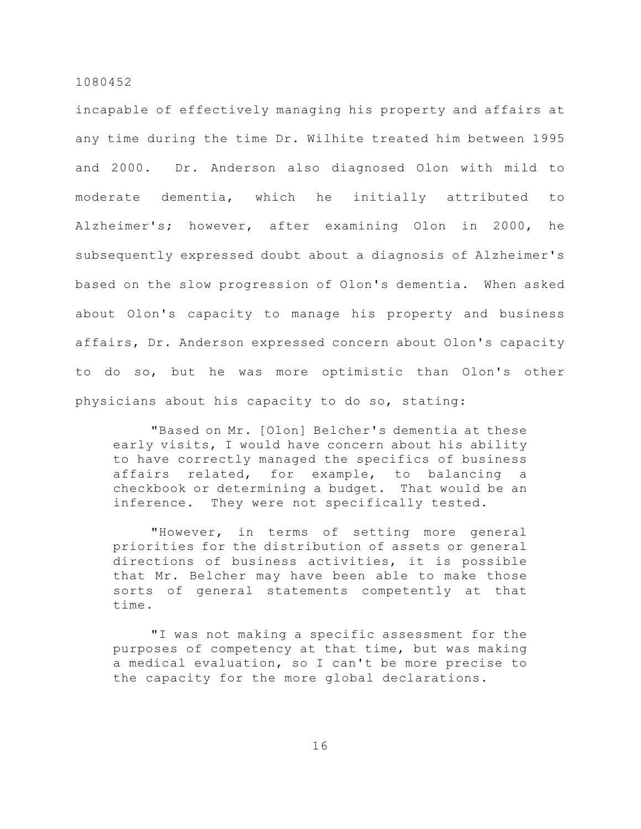incapable of effectively managing his property and affairs at any time during the time Dr. Wilhite treated him between 1995 and 2000. Dr. Anderson also diagnosed Olon with mild to moderate dementia, which he initially attributed to Alzheimer's; however, after examining Olon in 2000, he subsequently expressed doubt about a diagnosis of Alzheimer's based on the slow progression of Olon's dementia. When asked about Olon's capacity to manage his property and business affairs, Dr. Anderson expressed concern about Olon's capacity to do so, but he was more optimistic than Olon's other physicians about his capacity to do so, stating:

"Based on Mr. [Olon] Belcher's dementia at these early visits, I would have concern about his ability to have correctly managed the specifics of business affairs related, for example, to balancing a checkbook or determining a budget. That would be an inference. They were not specifically tested.

"However, in terms of setting more general priorities for the distribution of assets or general directions of business activities, it is possible that Mr. Belcher may have been able to make those sorts of general statements competently at that time.

"I was not making a specific assessment for the purposes of competency at that time, but was making a medical evaluation, so I can't be more precise to the capacity for the more global declarations.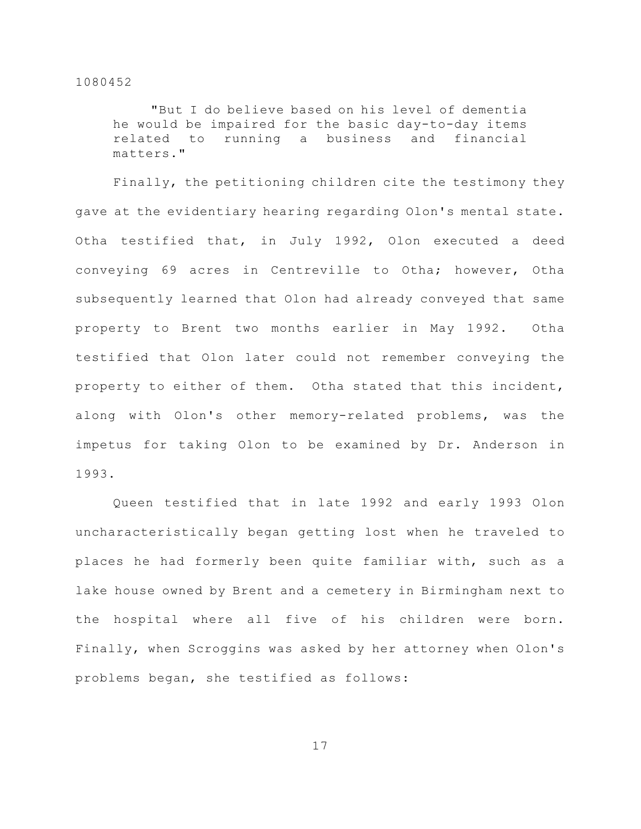"But I do believe based on his level of dementia he would be impaired for the basic day-to-day items related to running a business and financial matters."

Finally, the petitioning children cite the testimony they gave at the evidentiary hearing regarding Olon's mental state. Otha testified that, in July 1992, Olon executed a deed conveying 69 acres in Centreville to Otha; however, Otha subsequently learned that Olon had already conveyed that same property to Brent two months earlier in May 1992. Otha testified that Olon later could not remember conveying the property to either of them. Otha stated that this incident, along with Olon's other memory-related problems, was the impetus for taking Olon to be examined by Dr. Anderson in 1993.

Queen testified that in late 1992 and early 1993 Olon uncharacteristically began getting lost when he traveled to places he had formerly been quite familiar with, such as a lake house owned by Brent and a cemetery in Birmingham next to the hospital where all five of his children were born. Finally, when Scroggins was asked by her attorney when Olon's problems began, she testified as follows: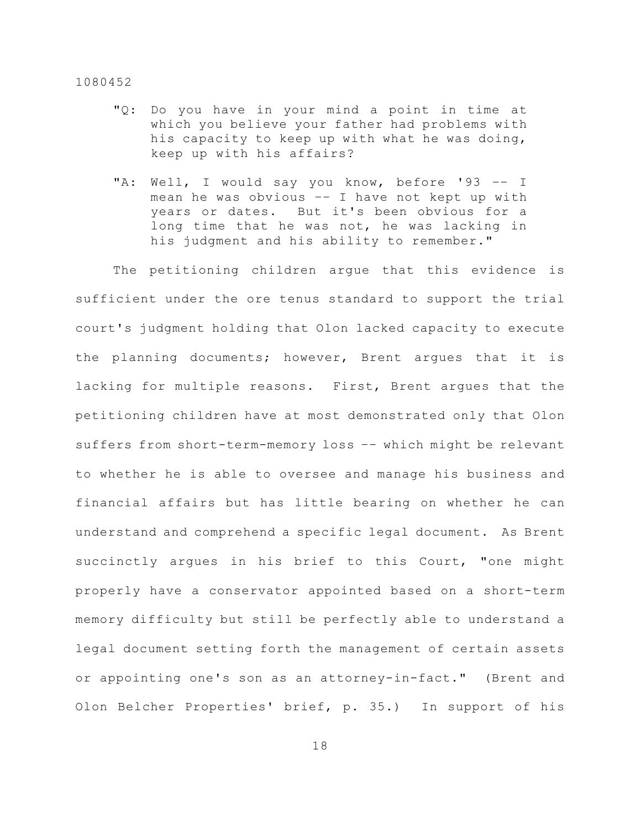- "Q: Do you have in your mind a point in time at which you believe your father had problems with his capacity to keep up with what he was doing, keep up with his affairs?
- "A: Well, I would say you know, before '93 -- I mean he was obvious –– I have not kept up with years or dates. But it's been obvious for a long time that he was not, he was lacking in his judgment and his ability to remember."

The petitioning children argue that this evidence is sufficient under the ore tenus standard to support the trial court's judgment holding that Olon lacked capacity to execute the planning documents; however, Brent argues that it is lacking for multiple reasons. First, Brent argues that the petitioning children have at most demonstrated only that Olon suffers from short-term-memory loss –– which might be relevant to whether he is able to oversee and manage his business and financial affairs but has little bearing on whether he can understand and comprehend a specific legal document. As Brent succinctly argues in his brief to this Court, "one might properly have a conservator appointed based on a short-term memory difficulty but still be perfectly able to understand a legal document setting forth the management of certain assets or appointing one's son as an attorney-in-fact." (Brent and Olon Belcher Properties' brief, p. 35.) In support of his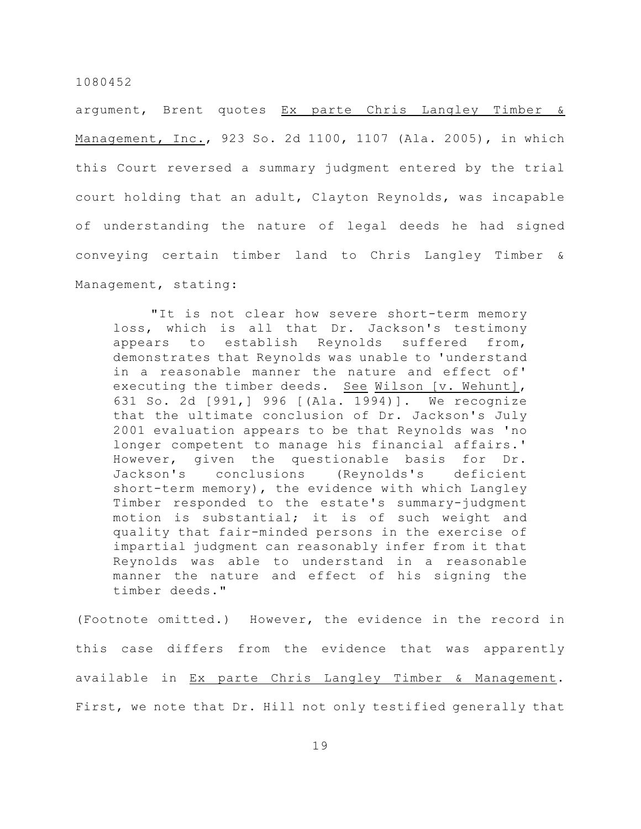argument, Brent quotes Ex parte Chris Langley Timber & Management, Inc., 923 So. 2d 1100, 1107 (Ala. 2005), in which this Court reversed a summary judgment entered by the trial court holding that an adult, Clayton Reynolds, was incapable of understanding the nature of legal deeds he had signed conveying certain timber land to Chris Langley Timber & Management, stating:

"It is not clear how severe short-term memory loss, which is all that Dr. Jackson's testimony appears to establish Reynolds suffered from, demonstrates that Reynolds was unable to 'understand in a reasonable manner the nature and effect of' executing the timber deeds. See Wilson [v. Wehunt], 631 So. 2d [991,] 996 [(Ala. 1994)]. We recognize that the ultimate conclusion of Dr. Jackson's July 2001 evaluation appears to be that Reynolds was 'no longer competent to manage his financial affairs.' However, given the questionable basis for Dr. Jackson's conclusions (Reynolds's deficient short-term memory), the evidence with which Langley Timber responded to the estate's summary-judgment motion is substantial; it is of such weight and quality that fair-minded persons in the exercise of impartial judgment can reasonably infer from it that Reynolds was able to understand in a reasonable manner the nature and effect of his signing the timber deeds."

(Footnote omitted.) However, the evidence in the record in this case differs from the evidence that was apparently available in Ex parte Chris Langley Timber & Management. First, we note that Dr. Hill not only testified generally that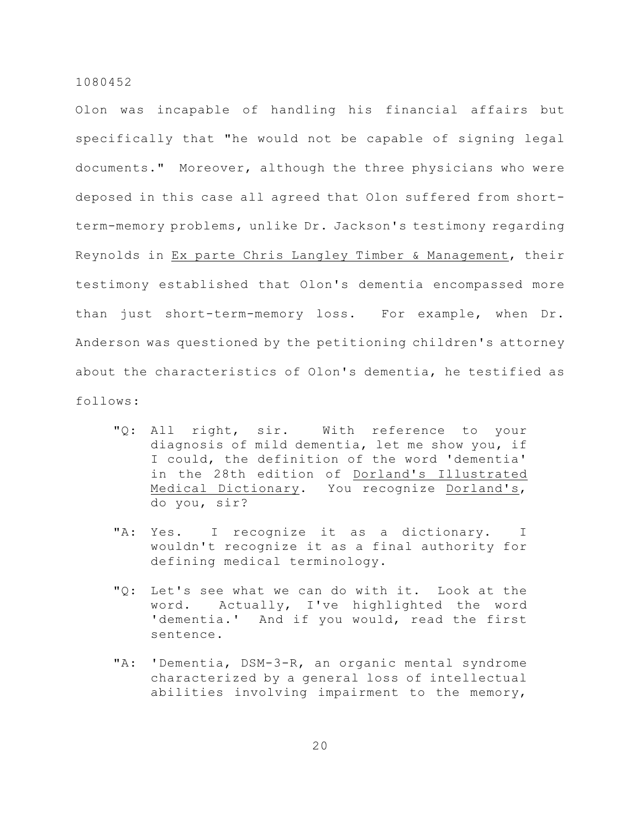Olon was incapable of handling his financial affairs but specifically that "he would not be capable of signing legal documents." Moreover, although the three physicians who were deposed in this case all agreed that Olon suffered from shortterm-memory problems, unlike Dr. Jackson's testimony regarding Reynolds in Ex parte Chris Langley Timber & Management, their testimony established that Olon's dementia encompassed more than just short-term-memory loss. For example, when Dr. Anderson was questioned by the petitioning children's attorney about the characteristics of Olon's dementia, he testified as follows:

- "Q: All right, sir. With reference to your diagnosis of mild dementia, let me show you, if I could, the definition of the word 'dementia' in the 28th edition of Dorland's Illustrated Medical Dictionary. You recognize Dorland's, do you, sir?
- "A: Yes. I recognize it as a dictionary. I wouldn't recognize it as a final authority for defining medical terminology.
- "Q: Let's see what we can do with it. Look at the word. Actually, I've highlighted the word 'dementia.' And if you would, read the first sentence.
- "A: 'Dementia, DSM-3-R, an organic mental syndrome characterized by a general loss of intellectual abilities involving impairment to the memory,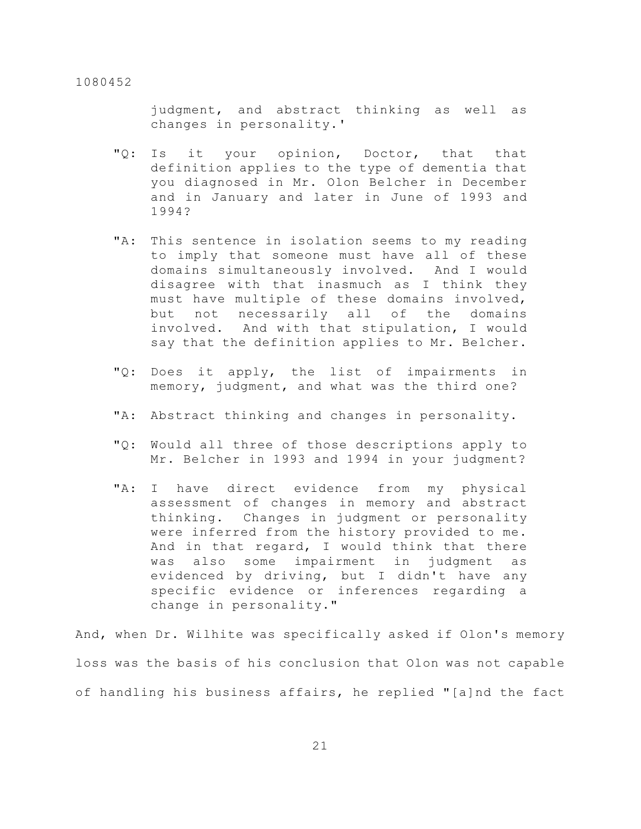judgment, and abstract thinking as well as changes in personality.'

- "Q: Is it your opinion, Doctor, that that definition applies to the type of dementia that you diagnosed in Mr. Olon Belcher in December and in January and later in June of 1993 and 1994?
- "A: This sentence in isolation seems to my reading to imply that someone must have all of these domains simultaneously involved. And I would disagree with that inasmuch as I think they must have multiple of these domains involved, but not necessarily all of the domains involved. And with that stipulation, I would say that the definition applies to Mr. Belcher.
- "Q: Does it apply, the list of impairments in memory, judgment, and what was the third one?
- "A: Abstract thinking and changes in personality.
- "Q: Would all three of those descriptions apply to Mr. Belcher in 1993 and 1994 in your judgment?
- "A: I have direct evidence from my physical assessment of changes in memory and abstract thinking. Changes in judgment or personality were inferred from the history provided to me. And in that regard, I would think that there was also some impairment in judgment as evidenced by driving, but I didn't have any specific evidence or inferences regarding a change in personality."

And, when Dr. Wilhite was specifically asked if Olon's memory loss was the basis of his conclusion that Olon was not capable of handling his business affairs, he replied "[a]nd the fact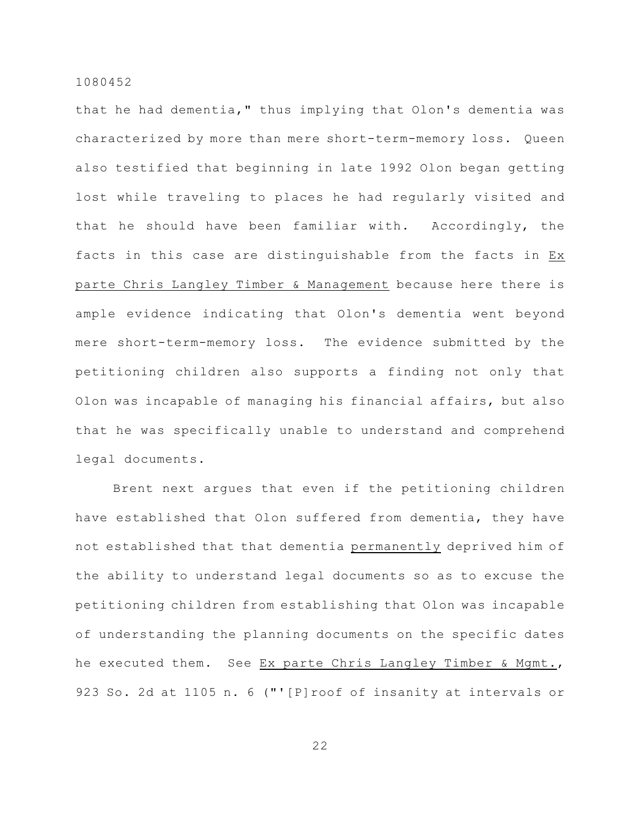that he had dementia," thus implying that Olon's dementia was characterized by more than mere short-term-memory loss. Queen also testified that beginning in late 1992 Olon began getting lost while traveling to places he had regularly visited and that he should have been familiar with. Accordingly, the facts in this case are distinguishable from the facts in Ex parte Chris Langley Timber & Management because here there is ample evidence indicating that Olon's dementia went beyond mere short-term-memory loss. The evidence submitted by the petitioning children also supports a finding not only that Olon was incapable of managing his financial affairs, but also that he was specifically unable to understand and comprehend legal documents.

Brent next argues that even if the petitioning children have established that Olon suffered from dementia, they have not established that that dementia permanently deprived him of the ability to understand legal documents so as to excuse the petitioning children from establishing that Olon was incapable of understanding the planning documents on the specific dates he executed them. See Ex parte Chris Langley Timber & Mgmt., 923 So. 2d at 1105 n. 6 ("'[P]roof of insanity at intervals or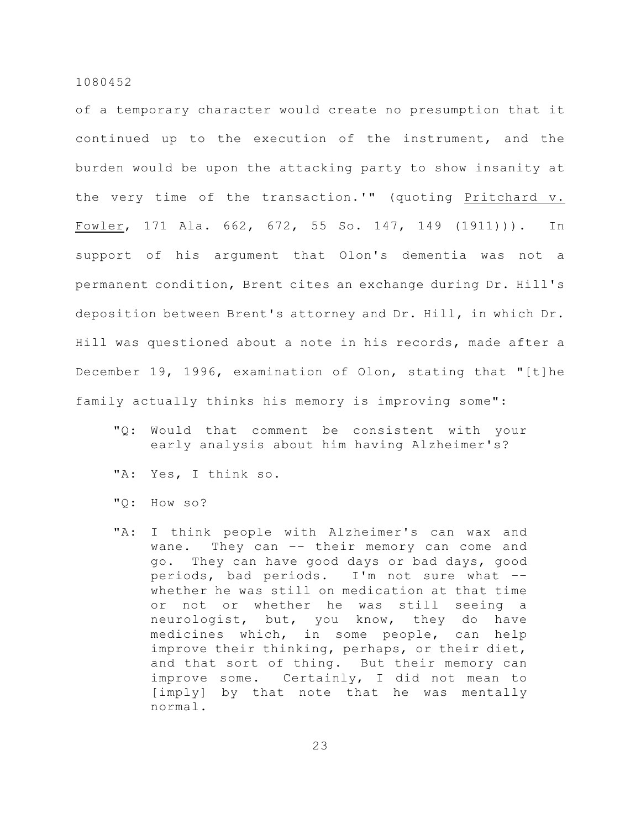of a temporary character would create no presumption that it continued up to the execution of the instrument, and the burden would be upon the attacking party to show insanity at the very time of the transaction.'" (quoting Pritchard v. Fowler, 171 Ala. 662, 672, 55 So. 147, 149 (1911))). In support of his argument that Olon's dementia was not a permanent condition, Brent cites an exchange during Dr. Hill's deposition between Brent's attorney and Dr. Hill, in which Dr. Hill was questioned about a note in his records, made after a December 19, 1996, examination of Olon, stating that "[t]he family actually thinks his memory is improving some":

- "Q: Would that comment be consistent with your early analysis about him having Alzheimer's?
- "A: Yes, I think so.
- "Q: How so?
- "A: I think people with Alzheimer's can wax and wane. They can -- their memory can come and go. They can have good days or bad days, good periods, bad periods. I'm not sure what –– whether he was still on medication at that time or not or whether he was still seeing a neurologist, but, you know, they do have medicines which, in some people, can help improve their thinking, perhaps, or their diet, and that sort of thing. But their memory can improve some. Certainly, I did not mean to [imply] by that note that he was mentally normal.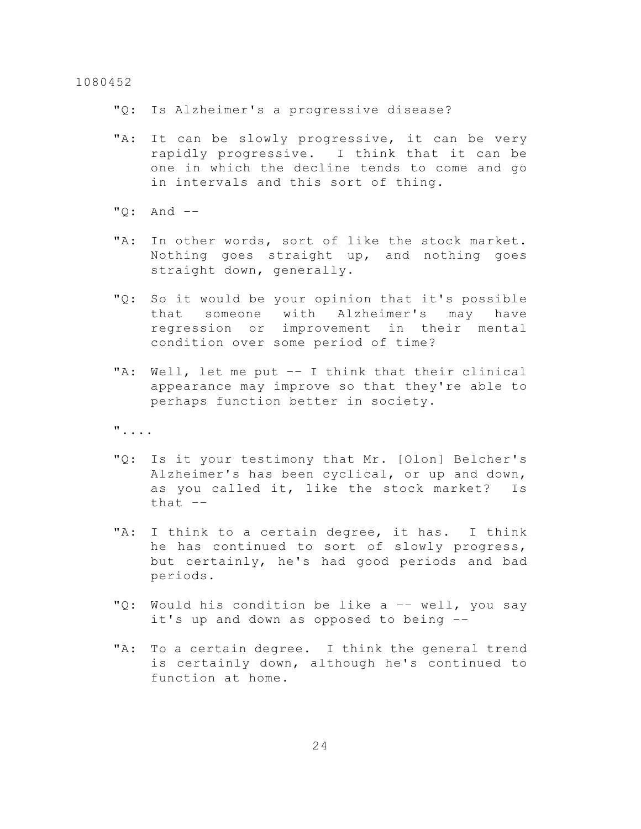"Q: Is Alzheimer's a progressive disease?

- "A: It can be slowly progressive, it can be very rapidly progressive. I think that it can be one in which the decline tends to come and go in intervals and this sort of thing.
- "Q: And ––
- "A: In other words, sort of like the stock market. Nothing goes straight up, and nothing goes straight down, generally.
- "Q: So it would be your opinion that it's possible that someone with Alzheimer's may have regression or improvement in their mental condition over some period of time?
- "A: Well, let me put –– I think that their clinical appearance may improve so that they're able to perhaps function better in society.

"....

- "Q: Is it your testimony that Mr. [Olon] Belcher's Alzheimer's has been cyclical, or up and down, as you called it, like the stock market? Is that  $-$
- "A: I think to a certain degree, it has. I think he has continued to sort of slowly progress, but certainly, he's had good periods and bad periods.
- "Q: Would his condition be like a –– well, you say it's up and down as opposed to being ––
- "A: To a certain degree. I think the general trend is certainly down, although he's continued to function at home.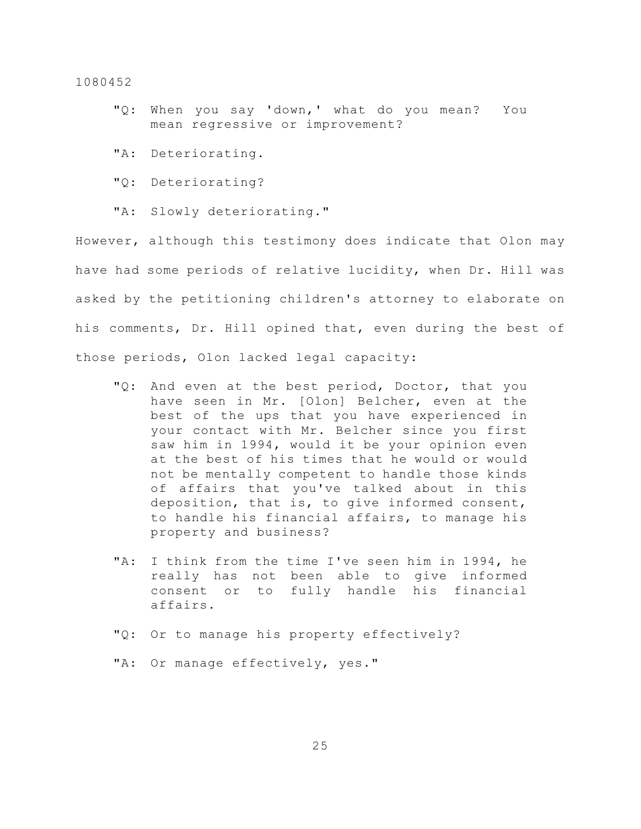- "Q: When you say 'down,' what do you mean? You mean regressive or improvement?
- "A: Deteriorating.
- "Q: Deteriorating?
- "A: Slowly deteriorating."

However, although this testimony does indicate that Olon may have had some periods of relative lucidity, when Dr. Hill was asked by the petitioning children's attorney to elaborate on his comments, Dr. Hill opined that, even during the best of those periods, Olon lacked legal capacity:

- "Q: And even at the best period, Doctor, that you have seen in Mr. [Olon] Belcher, even at the best of the ups that you have experienced in your contact with Mr. Belcher since you first saw him in 1994, would it be your opinion even at the best of his times that he would or would not be mentally competent to handle those kinds of affairs that you've talked about in this deposition, that is, to give informed consent, to handle his financial affairs, to manage his property and business?
- "A: I think from the time I've seen him in 1994, he really has not been able to give informed consent or to fully handle his financial affairs.
- "Q: Or to manage his property effectively?
- "A: Or manage effectively, yes."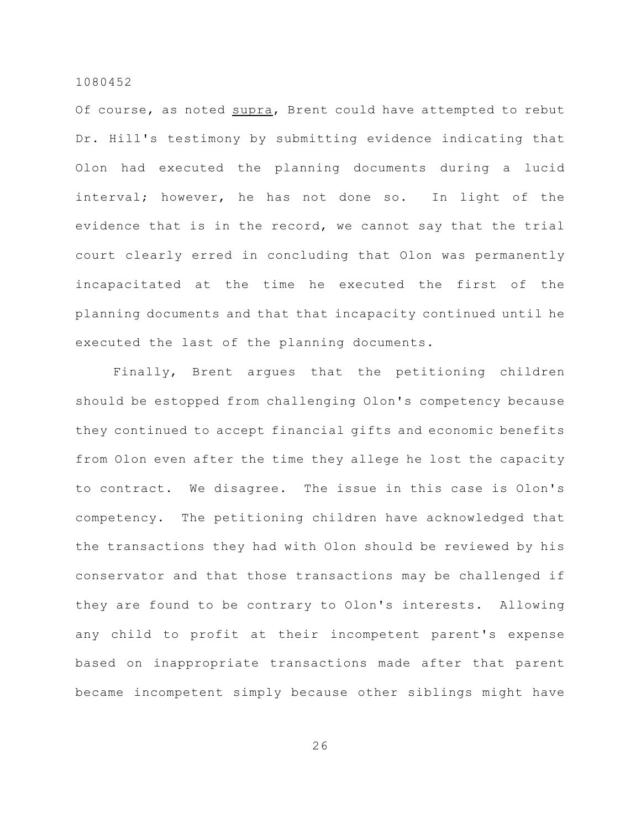Of course, as noted supra, Brent could have attempted to rebut Dr. Hill's testimony by submitting evidence indicating that Olon had executed the planning documents during a lucid interval; however, he has not done so. In light of the evidence that is in the record, we cannot say that the trial court clearly erred in concluding that Olon was permanently incapacitated at the time he executed the first of the planning documents and that that incapacity continued until he executed the last of the planning documents.

Finally, Brent argues that the petitioning children should be estopped from challenging Olon's competency because they continued to accept financial gifts and economic benefits from Olon even after the time they allege he lost the capacity to contract. We disagree. The issue in this case is Olon's competency. The petitioning children have acknowledged that the transactions they had with Olon should be reviewed by his conservator and that those transactions may be challenged if they are found to be contrary to Olon's interests. Allowing any child to profit at their incompetent parent's expense based on inappropriate transactions made after that parent became incompetent simply because other siblings might have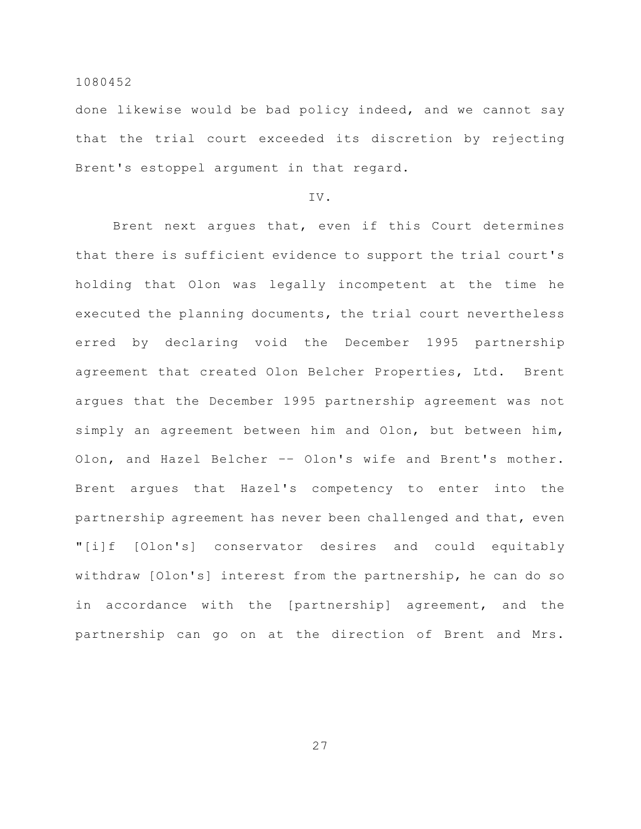done likewise would be bad policy indeed, and we cannot say that the trial court exceeded its discretion by rejecting Brent's estoppel argument in that regard.

# IV.

Brent next argues that, even if this Court determines that there is sufficient evidence to support the trial court's holding that Olon was legally incompetent at the time he executed the planning documents, the trial court nevertheless erred by declaring void the December 1995 partnership agreement that created Olon Belcher Properties, Ltd. Brent argues that the December 1995 partnership agreement was not simply an agreement between him and Olon, but between him, Olon, and Hazel Belcher –– Olon's wife and Brent's mother. Brent argues that Hazel's competency to enter into the partnership agreement has never been challenged and that, even "[i]f [Olon's] conservator desires and could equitably withdraw [Olon's] interest from the partnership, he can do so in accordance with the [partnership] agreement, and the partnership can go on at the direction of Brent and Mrs.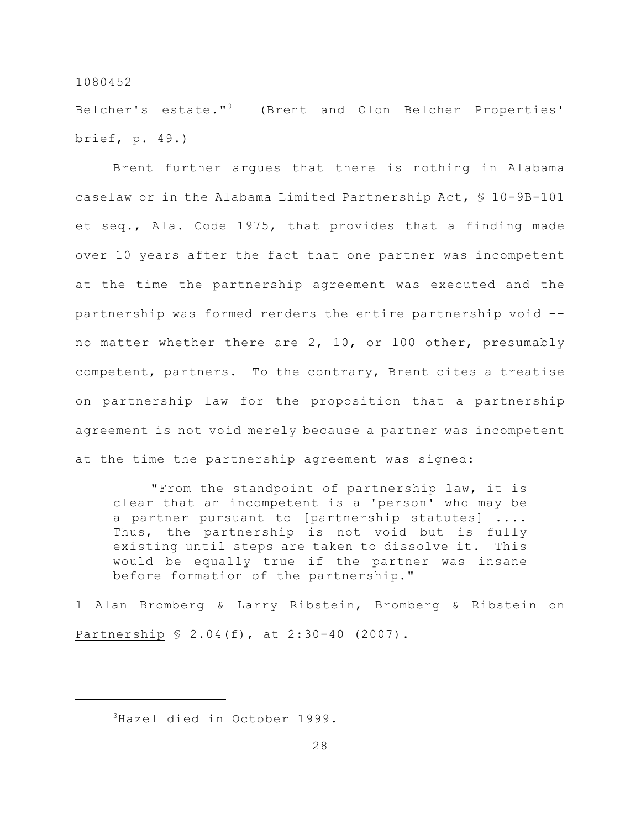Belcher's estate."<sup>3</sup> (Brent and Olon Belcher Properties' brief, p. 49.)

Brent further argues that there is nothing in Alabama caselaw or in the Alabama Limited Partnership Act, § 10-9B-101 et seq., Ala. Code 1975, that provides that a finding made over 10 years after the fact that one partner was incompetent at the time the partnership agreement was executed and the partnership was formed renders the entire partnership void –– no matter whether there are 2, 10, or 100 other, presumably competent, partners. To the contrary, Brent cites a treatise on partnership law for the proposition that a partnership agreement is not void merely because a partner was incompetent at the time the partnership agreement was signed:

"From the standpoint of partnership law, it is clear that an incompetent is a 'person' who may be a partner pursuant to [partnership statutes] .... Thus, the partnership is not void but is fully existing until steps are taken to dissolve it. This would be equally true if the partner was insane before formation of the partnership."

1 Alan Bromberg & Larry Ribstein, Bromberg & Ribstein on Partnership § 2.04(f), at 2:30-40 (2007).

<sup>&</sup>lt;sup>3</sup>Hazel died in October 1999.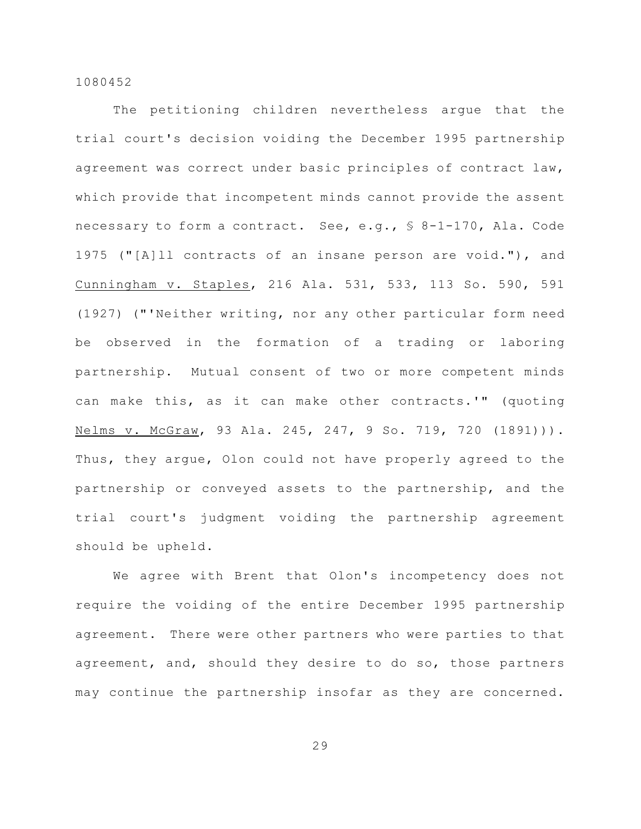The petitioning children nevertheless argue that the trial court's decision voiding the December 1995 partnership agreement was correct under basic principles of contract law, which provide that incompetent minds cannot provide the assent necessary to form a contract. See, e.g., § 8-1-170, Ala. Code 1975 ("[A]ll contracts of an insane person are void."), and Cunningham v. Staples, 216 Ala. 531, 533, 113 So. 590, 591 (1927) ("'Neither writing, nor any other particular form need be observed in the formation of a trading or laboring partnership. Mutual consent of two or more competent minds can make this, as it can make other contracts.'" (quoting Nelms v. McGraw, 93 Ala. 245, 247, 9 So. 719, 720 (1891))). Thus, they argue, Olon could not have properly agreed to the partnership or conveyed assets to the partnership, and the trial court's judgment voiding the partnership agreement should be upheld.

We agree with Brent that Olon's incompetency does not require the voiding of the entire December 1995 partnership agreement. There were other partners who were parties to that agreement, and, should they desire to do so, those partners may continue the partnership insofar as they are concerned.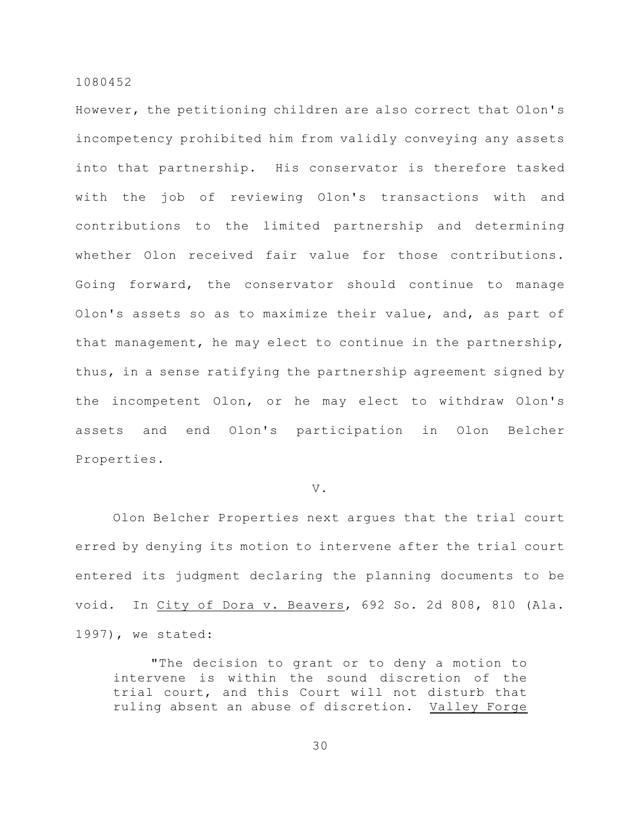However, the petitioning children are also correct that Olon's incompetency prohibited him from validly conveying any assets into that partnership. His conservator is therefore tasked with the job of reviewing Olon's transactions with and contributions to the limited partnership and determining whether Olon received fair value for those contributions. Going forward, the conservator should continue to manage Olon's assets so as to maximize their value, and, as part of that management, he may elect to continue in the partnership, thus, in a sense ratifying the partnership agreement signed by the incompetent Olon, or he may elect to withdraw Olon's assets and end Olon's participation in Olon Belcher Properties.

### V.

Olon Belcher Properties next argues that the trial court erred by denying its motion to intervene after the trial court entered its judgment declaring the planning documents to be void. In City of Dora v. Beavers, 692 So. 2d 808, 810 (Ala. 1997), we stated:

"The decision to grant or to deny a motion to intervene is within the sound discretion of the trial court, and this Court will not disturb that ruling absent an abuse of discretion. Valley Forge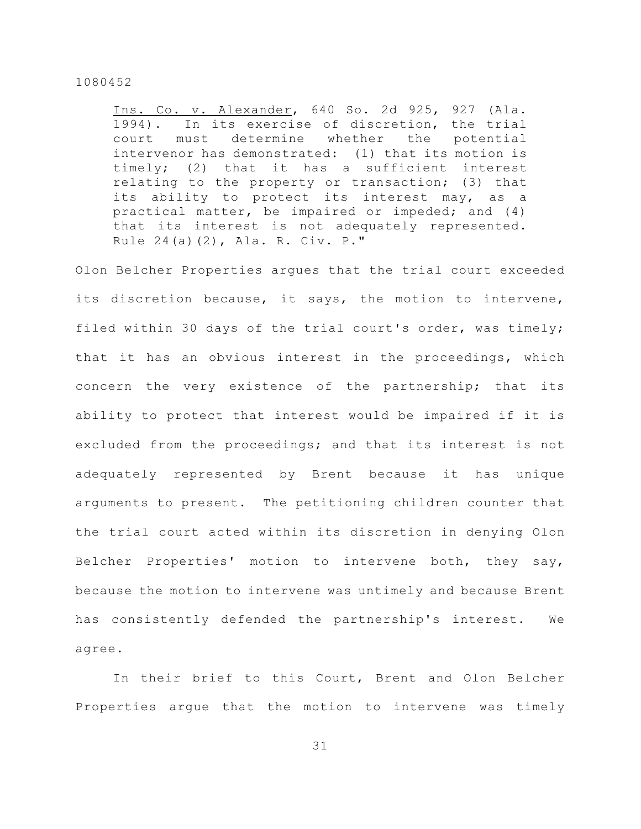Ins. Co. v. Alexander, 640 So. 2d 925, 927 (Ala. 1994). In its exercise of discretion, the trial court must determine whether the potential intervenor has demonstrated: (1) that its motion is timely; (2) that it has a sufficient interest relating to the property or transaction; (3) that its ability to protect its interest may, as a practical matter, be impaired or impeded; and (4) that its interest is not adequately represented. Rule 24(a)(2), Ala. R. Civ. P."

Olon Belcher Properties argues that the trial court exceeded its discretion because, it says, the motion to intervene, filed within 30 days of the trial court's order, was timely; that it has an obvious interest in the proceedings, which concern the very existence of the partnership; that its ability to protect that interest would be impaired if it is excluded from the proceedings; and that its interest is not adequately represented by Brent because it has unique arguments to present. The petitioning children counter that the trial court acted within its discretion in denying Olon Belcher Properties' motion to intervene both, they say, because the motion to intervene was untimely and because Brent has consistently defended the partnership's interest. We agree.

In their brief to this Court, Brent and Olon Belcher Properties argue that the motion to intervene was timely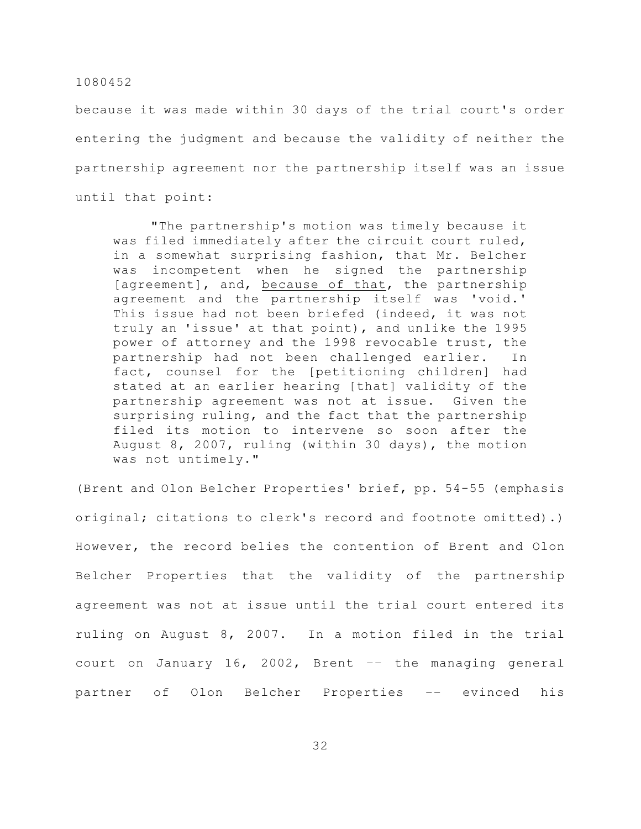because it was made within 30 days of the trial court's order entering the judgment and because the validity of neither the partnership agreement nor the partnership itself was an issue until that point:

"The partnership's motion was timely because it was filed immediately after the circuit court ruled, in a somewhat surprising fashion, that Mr. Belcher was incompetent when he signed the partnership [agreement], and, because of that, the partnership agreement and the partnership itself was 'void.' This issue had not been briefed (indeed, it was not truly an 'issue' at that point), and unlike the 1995 power of attorney and the 1998 revocable trust, the partnership had not been challenged earlier. In fact, counsel for the [petitioning children] had stated at an earlier hearing [that] validity of the partnership agreement was not at issue. Given the surprising ruling, and the fact that the partnership filed its motion to intervene so soon after the August 8, 2007, ruling (within 30 days), the motion was not untimely."

(Brent and Olon Belcher Properties' brief, pp. 54-55 (emphasis original; citations to clerk's record and footnote omitted).) However, the record belies the contention of Brent and Olon Belcher Properties that the validity of the partnership agreement was not at issue until the trial court entered its ruling on August 8, 2007. In a motion filed in the trial court on January 16, 2002, Brent –– the managing general partner of Olon Belcher Properties –– evinced his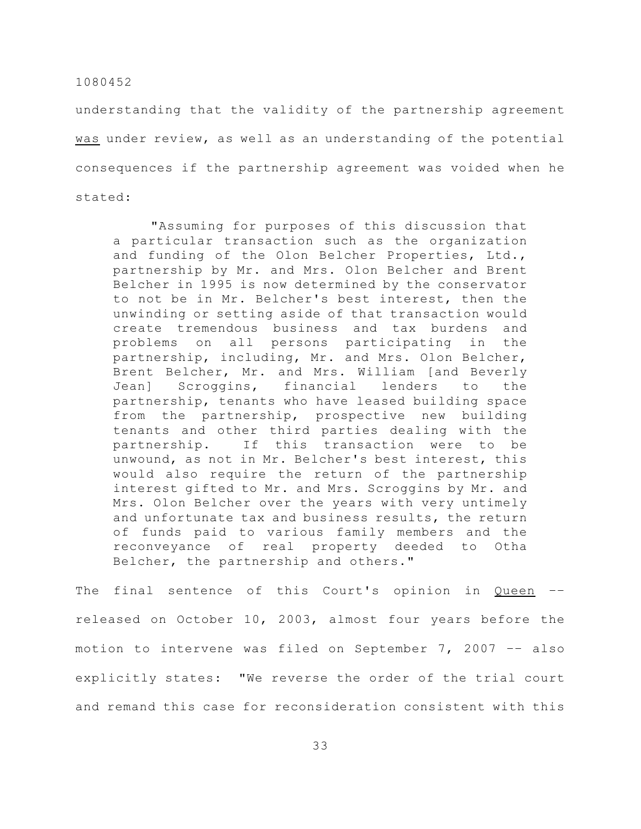understanding that the validity of the partnership agreement was under review, as well as an understanding of the potential consequences if the partnership agreement was voided when he stated:

"Assuming for purposes of this discussion that a particular transaction such as the organization and funding of the Olon Belcher Properties, Ltd., partnership by Mr. and Mrs. Olon Belcher and Brent Belcher in 1995 is now determined by the conservator to not be in Mr. Belcher's best interest, then the unwinding or setting aside of that transaction would create tremendous business and tax burdens and problems on all persons participating in the partnership, including, Mr. and Mrs. Olon Belcher, Brent Belcher, Mr. and Mrs. William [and Beverly Jean] Scroggins, financial lenders to the partnership, tenants who have leased building space from the partnership, prospective new building tenants and other third parties dealing with the partnership. If this transaction were to be unwound, as not in Mr. Belcher's best interest, this would also require the return of the partnership interest gifted to Mr. and Mrs. Scroggins by Mr. and Mrs. Olon Belcher over the years with very untimely and unfortunate tax and business results, the return of funds paid to various family members and the reconveyance of real property deeded to Otha Belcher, the partnership and others."

The final sentence of this Court's opinion in Queen –– released on October 10, 2003, almost four years before the motion to intervene was filed on September 7, 2007 –– also explicitly states: "We reverse the order of the trial court and remand this case for reconsideration consistent with this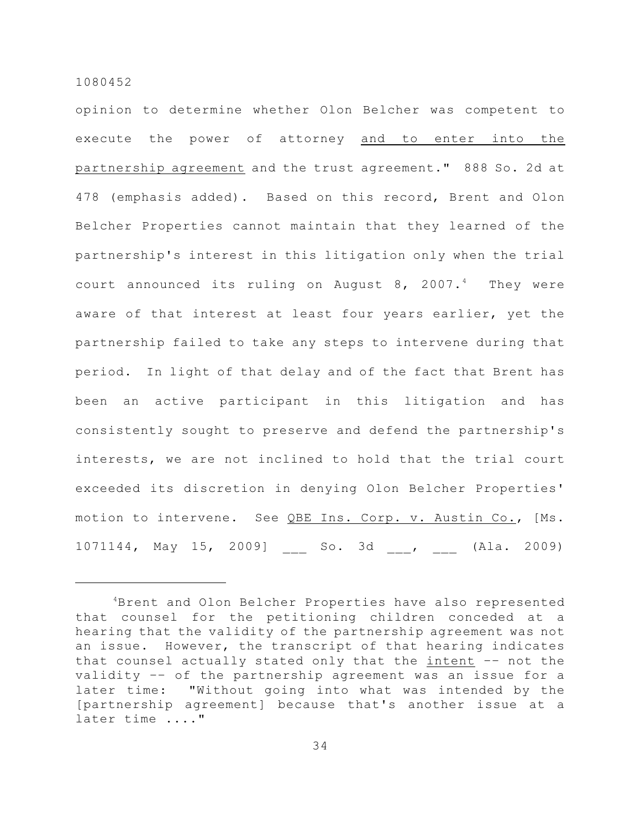opinion to determine whether Olon Belcher was competent to execute the power of attorney and to enter into the partnership agreement and the trust agreement." 888 So. 2d at 478 (emphasis added). Based on this record, Brent and Olon Belcher Properties cannot maintain that they learned of the partnership's interest in this litigation only when the trial court announced its ruling on August  $8, 2007.^4$  They were aware of that interest at least four years earlier, yet the partnership failed to take any steps to intervene during that period. In light of that delay and of the fact that Brent has been an active participant in this litigation and has consistently sought to preserve and defend the partnership's interests, we are not inclined to hold that the trial court exceeded its discretion in denying Olon Belcher Properties' motion to intervene. See QBE Ins. Corp. v. Austin Co., [Ms. 1071144, May 15, 2009] \_\_\_ So. 3d \_\_\_, \_\_\_ (Ala. 2009)

<sup>&</sup>lt;sup>4</sup>Brent and Olon Belcher Properties have also represented that counsel for the petitioning children conceded at a hearing that the validity of the partnership agreement was not an issue. However, the transcript of that hearing indicates that counsel actually stated only that the intent -- not the validity –– of the partnership agreement was an issue for a later time: "Without going into what was intended by the [partnership agreement] because that's another issue at a later time ...."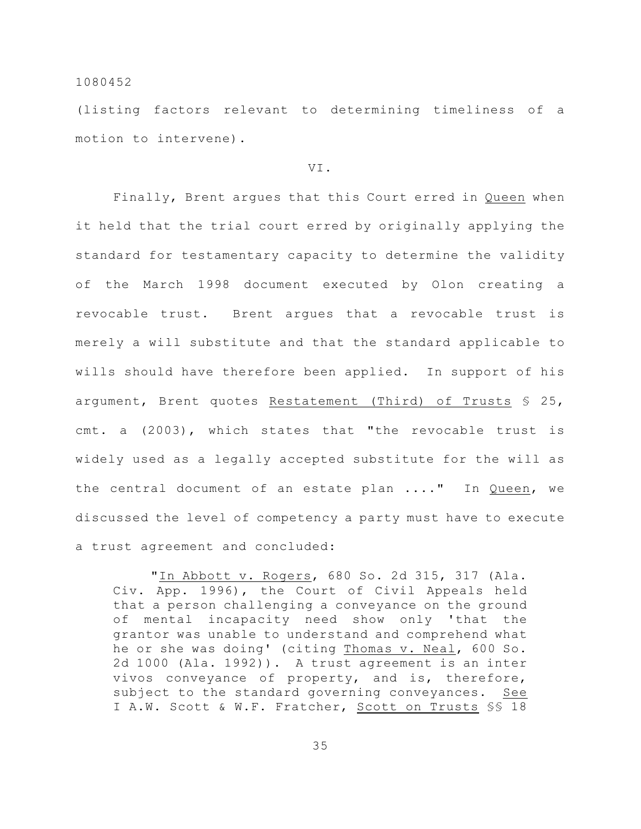(listing factors relevant to determining timeliness of a motion to intervene).

### VI.

Finally, Brent argues that this Court erred in Queen when it held that the trial court erred by originally applying the standard for testamentary capacity to determine the validity of the March 1998 document executed by Olon creating a revocable trust. Brent argues that a revocable trust is merely a will substitute and that the standard applicable to wills should have therefore been applied. In support of his argument, Brent quotes Restatement (Third) of Trusts § 25, cmt. a (2003), which states that "the revocable trust is widely used as a legally accepted substitute for the will as the central document of an estate plan ...." In Queen, we discussed the level of competency a party must have to execute a trust agreement and concluded:

"In Abbott v. Rogers, 680 So. 2d 315, 317 (Ala. Civ. App. 1996), the Court of Civil Appeals held that a person challenging a conveyance on the ground of mental incapacity need show only 'that the grantor was unable to understand and comprehend what he or she was doing' (citing Thomas v. Neal, 600 So. 2d 1000 (Ala. 1992)). A trust agreement is an inter vivos conveyance of property, and is, therefore, subject to the standard governing conveyances. See I A.W. Scott & W.F. Fratcher, Scott on Trusts §§ 18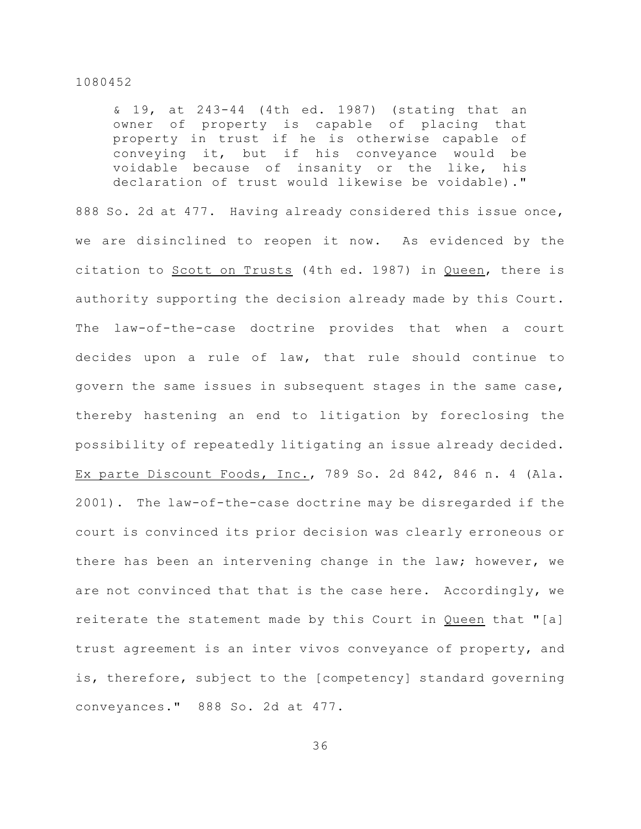& 19, at 243-44 (4th ed. 1987) (stating that an owner of property is capable of placing that property in trust if he is otherwise capable of conveying it, but if his conveyance would be voidable because of insanity or the like, his declaration of trust would likewise be voidable)."

888 So. 2d at 477. Having already considered this issue once, we are disinclined to reopen it now. As evidenced by the citation to Scott on Trusts (4th ed. 1987) in Queen, there is authority supporting the decision already made by this Court. The law-of-the-case doctrine provides that when a court decides upon a rule of law, that rule should continue to govern the same issues in subsequent stages in the same case, thereby hastening an end to litigation by foreclosing the possibility of repeatedly litigating an issue already decided. Ex parte Discount Foods, Inc., 789 So. 2d 842, 846 n. 4 (Ala. 2001). The law-of-the-case doctrine may be disregarded if the court is convinced its prior decision was clearly erroneous or there has been an intervening change in the law; however, we are not convinced that that is the case here. Accordingly, we reiterate the statement made by this Court in Queen that "[a] trust agreement is an inter vivos conveyance of property, and is, therefore, subject to the [competency] standard governing conveyances." 888 So. 2d at 477.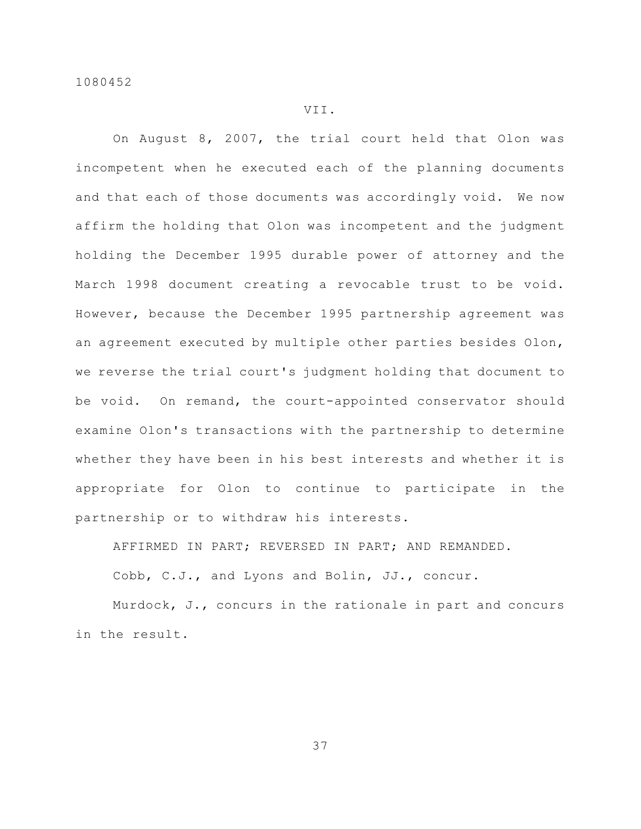# VII.

On August 8, 2007, the trial court held that Olon was incompetent when he executed each of the planning documents and that each of those documents was accordingly void. We now affirm the holding that Olon was incompetent and the judgment holding the December 1995 durable power of attorney and the March 1998 document creating a revocable trust to be void. However, because the December 1995 partnership agreement was an agreement executed by multiple other parties besides Olon, we reverse the trial court's judgment holding that document to be void. On remand, the court-appointed conservator should examine Olon's transactions with the partnership to determine whether they have been in his best interests and whether it is appropriate for Olon to continue to participate in the partnership or to withdraw his interests.

AFFIRMED IN PART; REVERSED IN PART; AND REMANDED.

Cobb, C.J., and Lyons and Bolin, JJ., concur.

Murdock, J., concurs in the rationale in part and concurs in the result.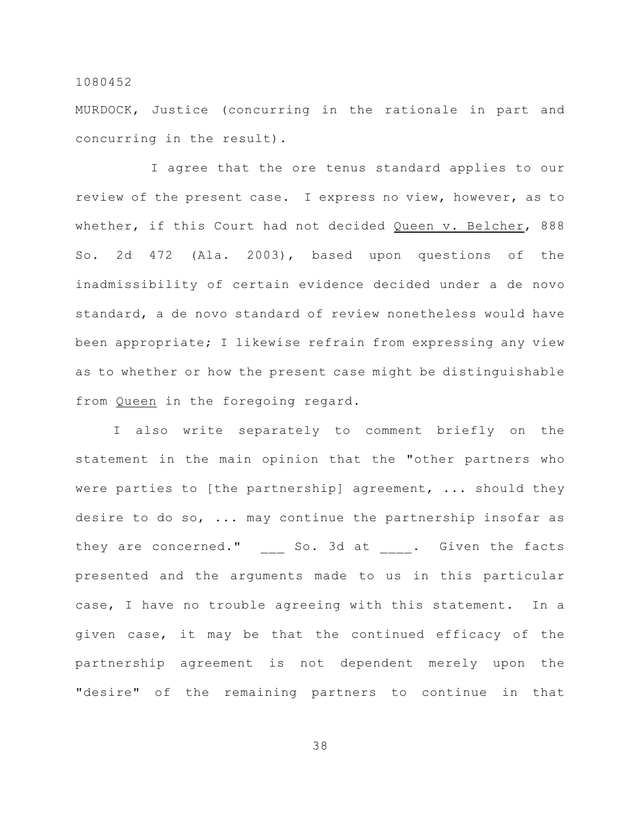MURDOCK, Justice (concurring in the rationale in part and concurring in the result).

I agree that the ore tenus standard applies to our review of the present case. I express no view, however, as to whether, if this Court had not decided Queen v. Belcher, 888 So. 2d 472 (Ala. 2003), based upon questions of the inadmissibility of certain evidence decided under a de novo standard, a de novo standard of review nonetheless would have been appropriate; I likewise refrain from expressing any view as to whether or how the present case might be distinguishable from Queen in the foregoing regard.

I also write separately to comment briefly on the statement in the main opinion that the "other partners who were parties to [the partnership] agreement, ... should they desire to do so, ... may continue the partnership insofar as they are concerned." So. 3d at . Given the facts presented and the arguments made to us in this particular case, I have no trouble agreeing with this statement. In a given case, it may be that the continued efficacy of the partnership agreement is not dependent merely upon the "desire" of the remaining partners to continue in that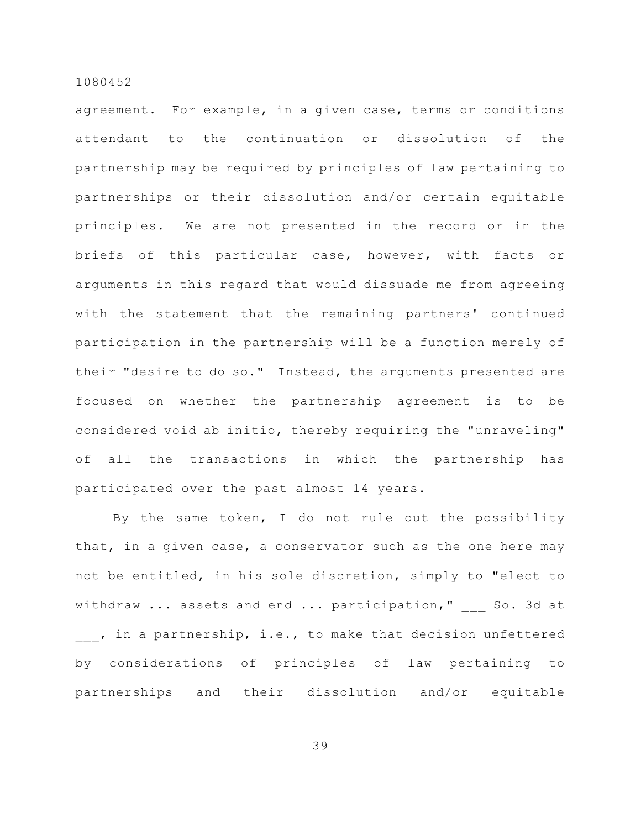agreement. For example, in a given case, terms or conditions attendant to the continuation or dissolution of the partnership may be required by principles of law pertaining to partnerships or their dissolution and/or certain equitable principles. We are not presented in the record or in the briefs of this particular case, however, with facts or arguments in this regard that would dissuade me from agreeing with the statement that the remaining partners' continued participation in the partnership will be a function merely of their "desire to do so." Instead, the arguments presented are focused on whether the partnership agreement is to be considered void ab initio, thereby requiring the "unraveling" of all the transactions in which the partnership has participated over the past almost 14 years.

By the same token, I do not rule out the possibility that, in a given case, a conservator such as the one here may not be entitled, in his sole discretion, simply to "elect to withdraw ... assets and end ... participation," So. 3d at , in a partnership, i.e., to make that decision unfettered by considerations of principles of law pertaining to partnerships and their dissolution and/or equitable